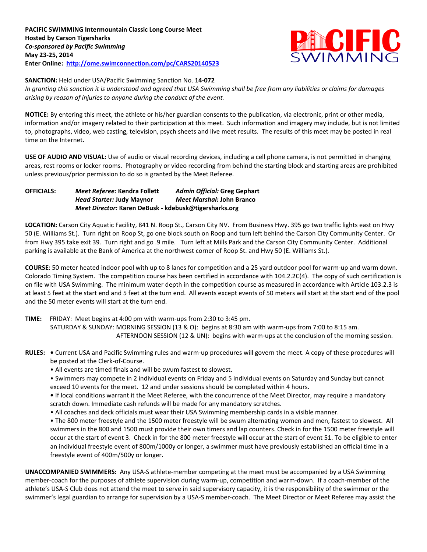

## **SANCTION:** Held under USA/Pacific Swimming Sanction No. **14-072**

*In granting this sanction it is understood and agreed that USA Swimming shall be free from any liabilities or claims for damages arising by reason of injuries to anyone during the conduct of the event.*

**NOTICE:** By entering this meet, the athlete or his/her guardian consents to the publication, via electronic, print or other media, information and/or imagery related to their participation at this meet. Such information and imagery may include, but is not limited to, photographs, video, web casting, television, psych sheets and live meet results. The results of this meet may be posted in real time on the Internet.

**USE OF AUDIO AND VISUAL:** Use of audio or visual recording devices, including a cell phone camera, is not permitted in changing areas, rest rooms or locker rooms. Photography or video recording from behind the starting block and starting areas are prohibited unless previous/prior permission to do so is granted by the Meet Referee.

## **OFFICIALS:** *Meet Referee:* **Kendra Follett** *Admin Official:* **Greg Gephart**  *Head Starter:* **Judy Maynor** *Meet Marshal:* **John Branco** *Meet Director:* **Karen DeBusk - kdebusk@tigersharks.org**

**LOCATION:** Carson City Aquatic Facility, 841 N. Roop St., Carson City NV. From Business Hwy. 395 go two traffic lights east on Hwy 50 (E. Williams St.). Turn right on Roop St, go one block south on Roop and turn left behind the Carson City Community Center. Or from Hwy 395 take exit 39. Turn right and go .9 mile. Turn left at Mills Park and the Carson City Community Center. Additional parking is available at the Bank of America at the northwest corner of Roop St. and Hwy 50 (E. Williams St.).

**COURSE**: 50 meter heated indoor pool with up to 8 lanes for competition and a 25 yard outdoor pool for warm-up and warm down. Colorado Timing System. The competition course has been certified in accordance with 104.2.2C(4). The copy of such certification is on file with USA Swimming. The minimum water depth in the competition course as measured in accordance with Article 103.2.3 is at least 5 feet at the start end and 5 feet at the turn end. All events except events of 50 meters will start at the start end of the pool and the 50 meter events will start at the turn end.

**TIME:** FRIDAY: Meet begins at 4:00 pm with warm-ups from 2:30 to 3:45 pm. SATURDAY & SUNDAY: MORNING SESSION (13 & O): begins at 8:30 am with warm-ups from 7:00 to 8:15 am. AFTERNOON SESSION (12 & UN): begins with warm-ups at the conclusion of the morning session.

**RULES: •** Current USA and Pacific Swimming rules and warm-up procedures will govern the meet. A copy of these procedures will be posted at the Clerk-of-Course.

• All events are timed finals and will be swum fastest to slowest.

• Swimmers may compete in 2 individual events on Friday and 5 individual events on Saturday and Sunday but cannot exceed 10 events for the meet. 12 and under sessions should be completed within 4 hours.

**•** If local conditions warrant it the Meet Referee, with the concurrence of the Meet Director, may require a mandatory scratch down. Immediate cash refunds will be made for any mandatory scratches.

• All coaches and deck officials must wear their USA Swimming membership cards in a visible manner.

• The 800 meter freestyle and the 1500 meter freestyle will be swum alternating women and men, fastest to slowest. All swimmers in the 800 and 1500 must provide their own timers and lap counters. Check in for the 1500 meter freestyle will occur at the start of event 3. Check in for the 800 meter freestyle will occur at the start of event 51. To be eligible to enter an individual freestyle event of 800m/1000y or longer, a swimmer must have previously established an official time in a freestyle event of 400m/500y or longer.

**UNACCOMPANIED SWIMMERS:** Any USA-S athlete-member competing at the meet must be accompanied by a USA Swimming member-coach for the purposes of athlete supervision during warm-up, competition and warm-down. If a coach-member of the athlete's USA-S Club does not attend the meet to serve in said supervisory capacity, it is the responsibility of the swimmer or the swimmer's legal guardian to arrange for supervision by a USA-S member-coach. The Meet Director or Meet Referee may assist the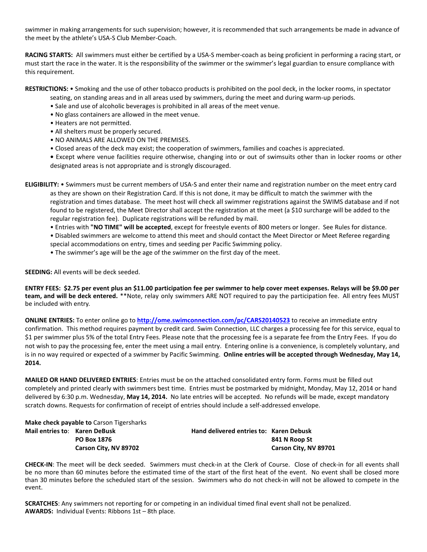swimmer in making arrangements for such supervision; however, it is recommended that such arrangements be made in advance of the meet by the athlete's USA-S Club Member-Coach.

**RACING STARTS:** All swimmers must either be certified by a USA-S member-coach as being proficient in performing a racing start, or must start the race in the water. It is the responsibility of the swimmer or the swimmer's legal guardian to ensure compliance with this requirement.

**RESTRICTIONS:** • Smoking and the use of other tobacco products is prohibited on the pool deck, in the locker rooms, in spectator

- seating, on standing areas and in all areas used by swimmers, during the meet and during warm-up periods.
- Sale and use of alcoholic beverages is prohibited in all areas of the meet venue.
- No glass containers are allowed in the meet venue.
- Heaters are not permitted.
- All shelters must be properly secured.
- NO ANIMALS ARE ALLOWED ON THE PREMISES.
- Closed areas of the deck may exist; the cooperation of swimmers, families and coaches is appreciated.
- Except where venue facilities require otherwise, changing into or out of swimsuits other than in locker rooms or other designated areas is not appropriate and is strongly discouraged.

**ELIGIBILITY:** • Swimmers must be current members of USA-S and enter their name and registration number on the meet entry card as they are shown on their Registration Card. If this is not done, it may be difficult to match the swimmer with the registration and times database. The meet host will check all swimmer registrations against the SWIMS database and if not found to be registered, the Meet Director shall accept the registration at the meet (a \$10 surcharge will be added to the regular registration fee). Duplicate registrations will be refunded by mail.

- Entries with **"NO TIME" will be accepted**, except for freestyle events of 800 meters or longer. See Rules for distance.
- Disabled swimmers are welcome to attend this meet and should contact the Meet Director or Meet Referee regarding special accommodations on entry, times and seeding per Pacific Swimming policy.
- The swimmer's age will be the age of the swimmer on the first day of the meet.

**SEEDING:** All events will be deck seeded.

**ENTRY FEES: \$2.75 per event plus an \$11.00 participation fee per swimmer to help cover meet expenses. Relays will be \$9.00 per team, and will be deck entered.** \*\*Note, relay only swimmers ARE NOT required to pay the participation fee. All entry fees MUST be included with entry.

**ONLINE ENTRIES:** To enter online go to **<http://ome.swimconnection.com/pc/CARS20140523>** to receive an immediate entry confirmation. This method requires payment by credit card. Swim Connection, LLC charges a processing fee for this service, equal to \$1 per swimmer plus 5% of the total Entry Fees. Please note that the processing fee is a separate fee from the Entry Fees. If you do not wish to pay the processing fee, enter the meet using a mail entry. Entering online is a convenience, is completely voluntary, and is in no way required or expected of a swimmer by Pacific Swimming. **Online entries will be accepted through Wednesday, May 14, 2014.**

**MAILED OR HAND DELIVERED ENTRIES**: Entries must be on the attached consolidated entry form. Forms must be filled out completely and printed clearly with swimmers best time. Entries must be postmarked by midnight, Monday, May 12, 2014 or hand delivered by 6:30 p.m. Wednesday, **May 14, 2014.** No late entries will be accepted. No refunds will be made, except mandatory scratch downs. Requests for confirmation of receipt of entries should include a self-addressed envelope.

**Make check payable to** Carson Tigersharks

**Mail entries to**: **Karen DeBusk Hand delivered entries to: Karen Debusk PO Box 1876** 841 N Roop St **Carson City, NV 89702 Carson City, NV 89701**

**CHECK-IN**: The meet will be deck seeded. Swimmers must check-in at the Clerk of Course. Close of check-in for all events shall be no more than 60 minutes before the estimated time of the start of the first heat of the event. No event shall be closed more than 30 minutes before the scheduled start of the session. Swimmers who do not check-in will not be allowed to compete in the event.

**SCRATCHES**: Any swimmers not reporting for or competing in an individual timed final event shall not be penalized. **AWARDS:** Individual Events: Ribbons 1st – 8th place.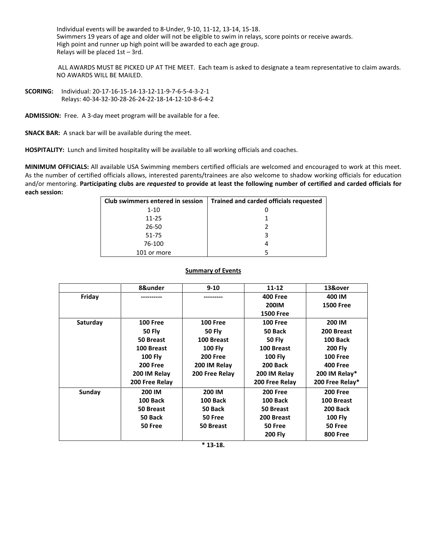Individual events will be awarded to 8-Under, 9-10, 11-12, 13-14, 15-18. Swimmers 19 years of age and older will not be eligible to swim in relays, score points or receive awards. High point and runner up high point will be awarded to each age group. Relays will be placed 1st – 3rd.

ALL AWARDS MUST BE PICKED UP AT THE MEET. Each team is asked to designate a team representative to claim awards. NO AWARDS WILL BE MAILED.

**SCORING:** Individual: 20-17-16-15-14-13-12-11-9-7-6-5-4-3-2-1 Relays: 40-34-32-30-28-26-24-22-18-14-12-10-8-6-4-2

**ADMISSION:** Free. A 3-day meet program will be available for a fee.

**SNACK BAR:** A snack bar will be available during the meet.

**HOSPITALITY:** Lunch and limited hospitality will be available to all working officials and coaches.

**MINIMUM OFFICIALS:** All available USA Swimming members certified officials are welcomed and encouraged to work at this meet. As the number of certified officials allows, interested parents/trainees are also welcome to shadow working officials for education and/or mentoring. **Participating clubs are** *requested* **to provide at least the following number of certified and carded officials for each session:**

| Club swimmers entered in session | Trained and carded officials requested |
|----------------------------------|----------------------------------------|
| $1 - 10$                         |                                        |
| $11 - 25$                        |                                        |
| 26-50                            |                                        |
| 51-75                            |                                        |
| 76-100                           |                                        |
| 101 or more                      |                                        |

## **Summary of Events**

|          | 8&under         | $9 - 10$        | $11 - 12$        | 13&over          |
|----------|-----------------|-----------------|------------------|------------------|
| Friday   |                 |                 | <b>400 Free</b>  | 400 IM           |
|          |                 |                 | <b>200IM</b>     | <b>1500 Free</b> |
|          |                 |                 | <b>1500 Free</b> |                  |
| Saturday | <b>100 Free</b> | <b>100 Free</b> | <b>100 Free</b>  | 200 IM           |
|          | <b>50 Fly</b>   | <b>50 Fly</b>   | 50 Back          | 200 Breast       |
|          | 50 Breast       | 100 Breast      | <b>50 Fly</b>    | <b>100 Back</b>  |
|          | 100 Breast      | <b>100 Fly</b>  | 100 Breast       | <b>200 Fly</b>   |
|          | <b>100 Fly</b>  | <b>200 Free</b> | <b>100 Fly</b>   | <b>100 Free</b>  |
|          | <b>200 Free</b> | 200 IM Relay    | 200 Back         | <b>400 Free</b>  |
|          | 200 IM Relay    | 200 Free Relay  | 200 IM Relay     | 200 IM Relay*    |
|          | 200 Free Relay  |                 | 200 Free Relay   | 200 Free Relay*  |
| Sunday   | 200 IM          | 200 IM          | <b>200 Free</b>  | <b>200 Free</b>  |
|          | 100 Back        | 100 Back        | 100 Back         | 100 Breast       |
|          | 50 Breast       | 50 Back         | 50 Breast        | <b>200 Back</b>  |
|          | 50 Back         | 50 Free         | 200 Breast       | <b>100 Fly</b>   |
|          | 50 Free         | 50 Breast       | 50 Free          | 50 Free          |
|          |                 |                 | <b>200 Fly</b>   | <b>800 Free</b>  |
|          |                 |                 |                  |                  |

**\* 13-18.**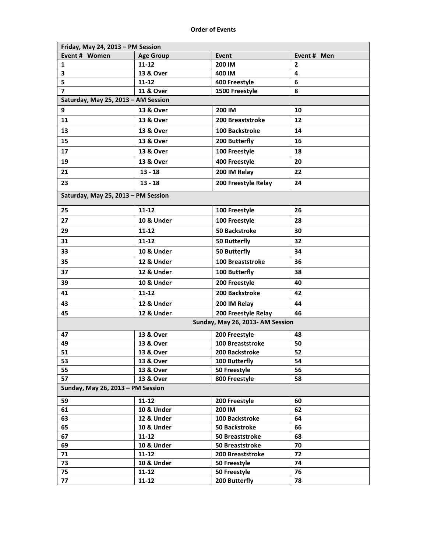| Friday, May 24, 2013 - PM Session   |                      |                                  |                |
|-------------------------------------|----------------------|----------------------------------|----------------|
| Event # Women                       | <b>Age Group</b>     | Event                            | Event # Men    |
| 1                                   | $11 - 12$            | 200 IM                           | $\overline{2}$ |
| 3                                   | 13 & Over            | 400 IM                           | 4              |
| 5                                   | $11 - 12$            | 400 Freestyle                    | 6              |
| 7                                   | <b>11 &amp; Over</b> | 1500 Freestyle                   | 8              |
| Saturday, May 25, 2013 - AM Session |                      |                                  |                |
| 9                                   | 13 & Over            | 200 IM                           | 10             |
| 11                                  | 13 & Over            | 200 Breaststroke                 | 12             |
| 13                                  | 13 & Over            | 100 Backstroke                   | 14             |
| 15                                  | 13 & Over            | 200 Butterfly                    | 16             |
| 17                                  | 13 & Over            | 100 Freestyle                    | 18             |
| 19                                  | 13 & Over            | 400 Freestyle                    | 20             |
| 21                                  | $13 - 18$            | 200 IM Relay                     | 22             |
| 23                                  | $13 - 18$            | 200 Freestyle Relay              | 24             |
| Saturday, May 25, 2013 - PM Session |                      |                                  |                |
| 25                                  | $11 - 12$            | 100 Freestyle                    | 26             |
| 27                                  | 10 & Under           | 100 Freestyle                    | 28             |
| 29                                  | $11 - 12$            | <b>50 Backstroke</b>             | 30             |
| 31                                  | 11-12                | 50 Butterfly                     | 32             |
| 33                                  | 10 & Under           | 50 Butterfly                     | 34             |
| 35                                  | 12 & Under           | 100 Breaststroke                 | 36             |
| 37                                  | 12 & Under           | 100 Butterfly                    | 38             |
| 39                                  | 10 & Under           | 200 Freestyle                    | 40             |
| 41                                  | $11 - 12$            | 200 Backstroke                   | 42             |
| 43                                  | 12 & Under           | 200 IM Relay                     | 44             |
| 45                                  | 12 & Under           | 200 Freestyle Relay              | 46             |
|                                     |                      | Sunday, May 26, 2013- AM Session |                |
| 47                                  | 13 & Over            | 200 Freestyle                    | 48             |
| 49                                  | 13 & Over            | 100 Breaststroke                 | 50             |
| 51                                  | 13 & Over            | 200 Backstroke                   | 52             |
| 53                                  | 13 & Over            | 100 Butterfly                    | 54             |
| 55                                  | 13 & Over            | 50 Freestyle                     | 56             |
| 57                                  | 13 & Over            | 800 Freestyle                    | 58             |
| Sunday, May 26, 2013 - PM Session   |                      |                                  |                |
| 59                                  | 11-12                | 200 Freestyle                    | 60             |
| 61                                  | 10 & Under           | 200 IM                           | 62             |
| 63                                  | 12 & Under           | 100 Backstroke                   | 64             |
| 65                                  | 10 & Under           | <b>50 Backstroke</b>             | 66             |
| 67                                  | $11 - 12$            | 50 Breaststroke                  | 68             |
| 69                                  | 10 & Under           | 50 Breaststroke                  | 70             |
| 71                                  | 11-12                | 200 Breaststroke                 | 72             |
| 73                                  | 10 & Under           | 50 Freestyle                     | 74             |
| 75                                  | $11 - 12$            | 50 Freestyle                     | 76             |
| 77                                  | $11 - 12$            | 200 Butterfly                    | 78             |